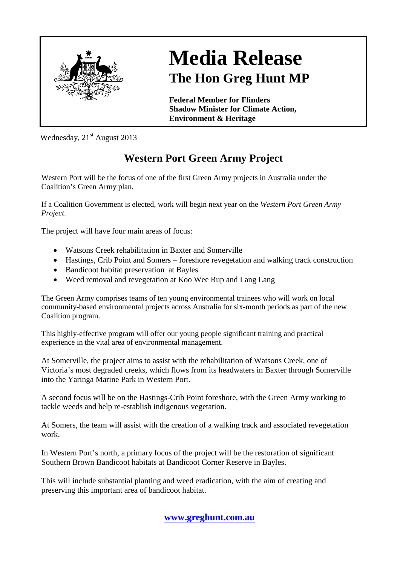

## **Media Release The Hon Greg Hunt MP**

**Federal Member for Flinders Shadow Minister for Climate Action, Environment & Heritage**

Wednesday,  $21<sup>st</sup>$  August 2013

## **Western Port Green Army Project**

Western Port will be the focus of one of the first Green Army projects in Australia under the Coalition's Green Army plan.

If a Coalition Government is elected, work will begin next year on the *Western Port Green Army Project*.

The project will have four main areas of focus:

- Watsons Creek rehabilitation in Baxter and Somerville
- Hastings, Crib Point and Somers foreshore revegetation and walking track construction
- Bandicoot habitat preservation at Bayles
- Weed removal and revegetation at Koo Wee Rup and Lang Lang

The Green Army comprises teams of ten young environmental trainees who will work on local community-based environmental projects across Australia for six-month periods as part of the new Coalition program.

This highly-effective program will offer our young people significant training and practical experience in the vital area of environmental management.

At Somerville, the project aims to assist with the rehabilitation of Watsons Creek, one of Victoria's most degraded creeks, which flows from its headwaters in Baxter through Somerville into the Yaringa Marine Park in Western Port.

A second focus will be on the Hastings-Crib Point foreshore, with the Green Army working to tackle weeds and help re-establish indigenous vegetation.

At Somers, the team will assist with the creation of a walking track and associated revegetation work.

In Western Port's north, a primary focus of the project will be the restoration of significant Southern Brown Bandicoot habitats at Bandicoot Corner Reserve in Bayles.

This will include substantial planting and weed eradication, with the aim of creating and preserving this important area of bandicoot habitat.